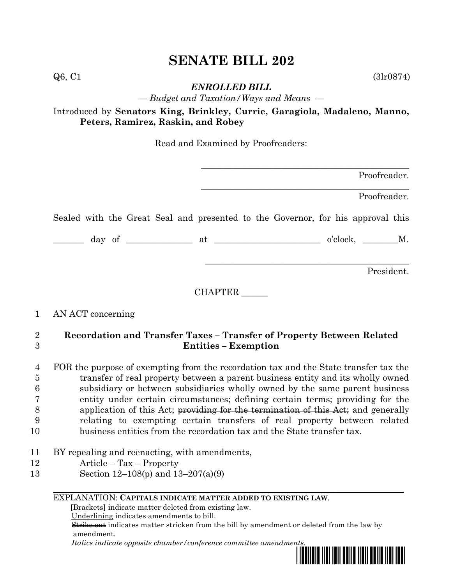# **SENATE BILL 202**

 $Q6, C1$  (3lr0874)

*ENROLLED BILL*

*— Budget and Taxation/Ways and Means —*

# Introduced by **Senators King, Brinkley, Currie, Garagiola, Madaleno, Manno, Peters, Ramirez, Raskin, and Robey**

Read and Examined by Proofreaders:

|                                                                                 |         | Proofreader. |
|---------------------------------------------------------------------------------|---------|--------------|
|                                                                                 |         | Proofreader. |
| Sealed with the Great Seal and presented to the Governor, for his approval this |         |              |
|                                                                                 |         |              |
|                                                                                 |         | President.   |
|                                                                                 | CHAPTER |              |

### 1 AN ACT concerning

## 2 **Recordation and Transfer Taxes – Transfer of Property Between Related**  3 **Entities – Exemption**

 FOR the purpose of exempting from the recordation tax and the State transfer tax the transfer of real property between a parent business entity and its wholly owned subsidiary or between subsidiaries wholly owned by the same parent business entity under certain circumstances; defining certain terms; providing for the 8 application of this Act; **providing for the termination of this Act**; and generally relating to exempting certain transfers of real property between related business entities from the recordation tax and the State transfer tax.

- 11 BY repealing and reenacting, with amendments,
- 12 Article Tax Property
- 13 Section 12–108(p) and 13–207(a)(9)

#### EXPLANATION: **CAPITALS INDICATE MATTER ADDED TO EXISTING LAW**.

 **[**Brackets**]** indicate matter deleted from existing law.

Underlining indicates amendments to bill.

 Strike out indicates matter stricken from the bill by amendment or deleted from the law by amendment.

 *Italics indicate opposite chamber/conference committee amendments.*

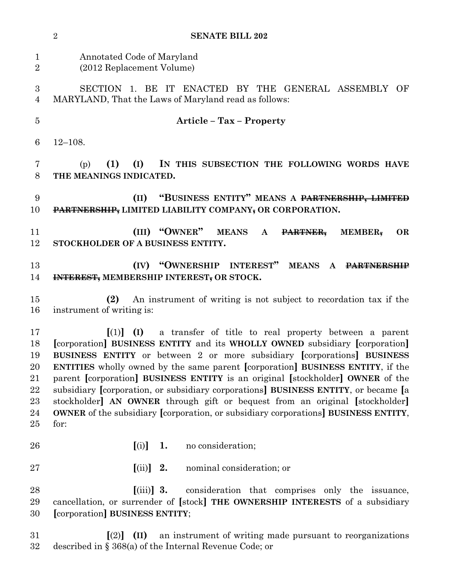|                                                                                                                                                                                                                                                                                                                                                                                                                                                                                                                                                                                                                                                                                                                                                                   | $\overline{2}$<br><b>SENATE BILL 202</b>                                                                                                                                                                            |  |  |
|-------------------------------------------------------------------------------------------------------------------------------------------------------------------------------------------------------------------------------------------------------------------------------------------------------------------------------------------------------------------------------------------------------------------------------------------------------------------------------------------------------------------------------------------------------------------------------------------------------------------------------------------------------------------------------------------------------------------------------------------------------------------|---------------------------------------------------------------------------------------------------------------------------------------------------------------------------------------------------------------------|--|--|
| $\mathbf 1$<br>$\overline{2}$                                                                                                                                                                                                                                                                                                                                                                                                                                                                                                                                                                                                                                                                                                                                     | Annotated Code of Maryland<br>(2012 Replacement Volume)                                                                                                                                                             |  |  |
| 3<br>4                                                                                                                                                                                                                                                                                                                                                                                                                                                                                                                                                                                                                                                                                                                                                            | SECTION 1. BE IT ENACTED BY THE GENERAL ASSEMBLY OF<br>MARYLAND, That the Laws of Maryland read as follows:                                                                                                         |  |  |
| $\overline{5}$                                                                                                                                                                                                                                                                                                                                                                                                                                                                                                                                                                                                                                                                                                                                                    | <b>Article - Tax - Property</b>                                                                                                                                                                                     |  |  |
| 6                                                                                                                                                                                                                                                                                                                                                                                                                                                                                                                                                                                                                                                                                                                                                                 | $12 - 108.$                                                                                                                                                                                                         |  |  |
| 7<br>8                                                                                                                                                                                                                                                                                                                                                                                                                                                                                                                                                                                                                                                                                                                                                            | (1)<br>IN THIS SUBSECTION THE FOLLOWING WORDS HAVE<br>(I)<br>(p)<br>THE MEANINGS INDICATED.                                                                                                                         |  |  |
| 9<br>10                                                                                                                                                                                                                                                                                                                                                                                                                                                                                                                                                                                                                                                                                                                                                           | "BUSINESS ENTITY" MEANS A PARTNERSHIP, LIMITED<br>(II)<br>PARTNERSHIP, LIMITED LIABILITY COMPANY, OR CORPORATION.                                                                                                   |  |  |
| 11<br>12                                                                                                                                                                                                                                                                                                                                                                                                                                                                                                                                                                                                                                                                                                                                                          | (III) "OWNER" MEANS<br>$MEMBER_{\overline{5}}$<br>$\mathbf{A}$<br>PARTNER,<br><b>OR</b><br>STOCKHOLDER OF A BUSINESS ENTITY.                                                                                        |  |  |
| 13<br>14                                                                                                                                                                                                                                                                                                                                                                                                                                                                                                                                                                                                                                                                                                                                                          | (IV) "OWNERSHIP INTEREST"<br><b>MEANS</b><br><b>PARTNERSHIP</b><br>${\bf A}$<br>INTEREST, MEMBERSHIP INTEREST, OR STOCK.                                                                                            |  |  |
| 15<br>16                                                                                                                                                                                                                                                                                                                                                                                                                                                                                                                                                                                                                                                                                                                                                          | An instrument of writing is not subject to recordation tax if the<br>(2)<br>instrument of writing is:                                                                                                               |  |  |
| (I)<br>a transfer of title to real property between a parent<br>17<br>$\lceil (1) \rceil$<br>[corporation] BUSINESS ENTITY and its WHOLLY OWNED subsidiary [corporation]<br>18<br>BUSINESS ENTITY or between 2 or more subsidiary [corporations] BUSINESS<br>19<br>20<br><b>ENTITIES</b> wholly owned by the same parent [corporation] BUSINESS ENTITY, if the<br>21<br>parent [corporation] BUSINESS ENTITY is an original [stockholder] OWNER of the<br>subsidiary [corporation, or subsidiary corporations] BUSINESS ENTITY, or became [a<br>22<br>23<br>stockholder] AN OWNER through gift or bequest from an original [stockholder]<br>24<br><b>OWNER</b> of the subsidiary [corporation, or subsidiary corporations] <b>BUSINESS ENTITY</b> ,<br>25<br>for: |                                                                                                                                                                                                                     |  |  |
| 26                                                                                                                                                                                                                                                                                                                                                                                                                                                                                                                                                                                                                                                                                                                                                                | [(i)]<br>1.<br>no consideration;                                                                                                                                                                                    |  |  |
| $27\,$                                                                                                                                                                                                                                                                                                                                                                                                                                                                                                                                                                                                                                                                                                                                                            | $[$ (ii)]<br>2.<br>nominal consideration; or                                                                                                                                                                        |  |  |
| 28<br>29<br>30                                                                                                                                                                                                                                                                                                                                                                                                                                                                                                                                                                                                                                                                                                                                                    | $\left[ \left( \text{iii} \right) \right]$ 3.<br>consideration that comprises only the issuance,<br>cancellation, or surrender of [stock] THE OWNERSHIP INTERESTS of a subsidiary<br>[corporation] BUSINESS ENTITY; |  |  |
| 31<br>32                                                                                                                                                                                                                                                                                                                                                                                                                                                                                                                                                                                                                                                                                                                                                          | (II)<br>an instrument of writing made pursuant to reorganizations<br>$\lceil (2) \rceil$<br>described in § 368(a) of the Internal Revenue Code; or                                                                  |  |  |